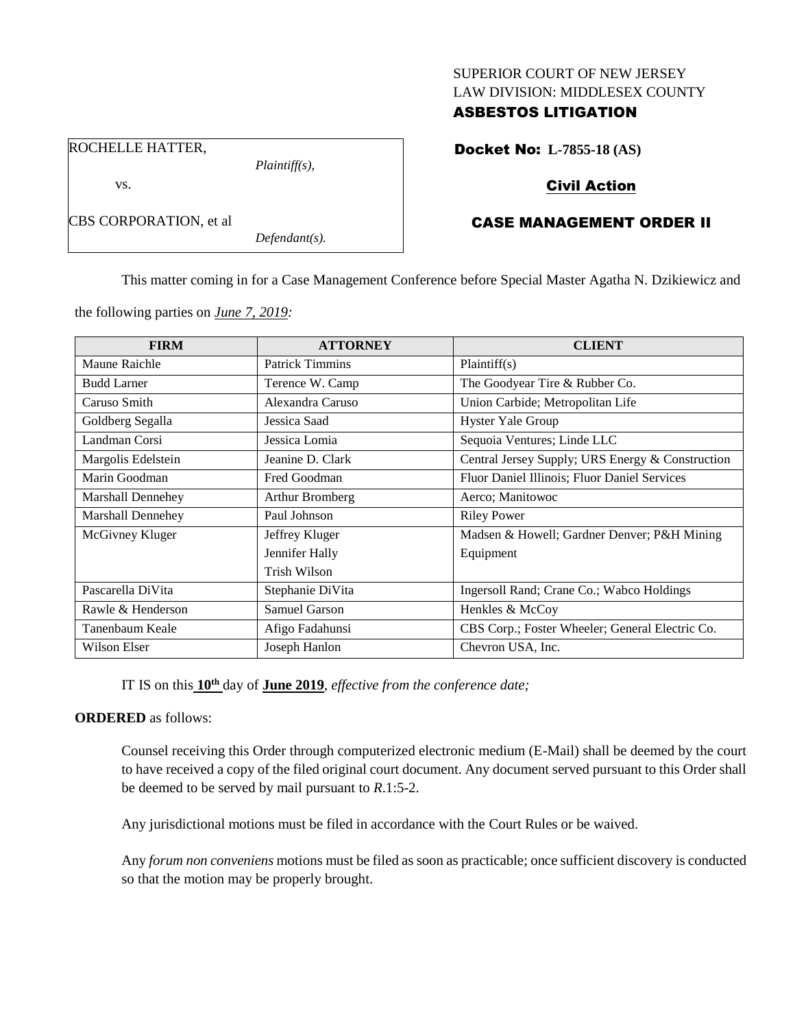## SUPERIOR COURT OF NEW JERSEY LAW DIVISION: MIDDLESEX COUNTY

# ASBESTOS LITIGATION

Docket No: **L-7855-18 (AS)**

ROCHELLE HATTER,

vs.

CBS CORPORATION, et al

*Plaintiff(s),*

*Defendant(s).*

# Civil Action

# CASE MANAGEMENT ORDER II

This matter coming in for a Case Management Conference before Special Master Agatha N. Dzikiewicz and

the following parties on *June 7, 2019:*

| <b>FIRM</b>        | <b>ATTORNEY</b>        | <b>CLIENT</b>                                    |
|--------------------|------------------------|--------------------------------------------------|
| Maune Raichle      | <b>Patrick Timmins</b> | Plaintiff(s)                                     |
| <b>Budd Larner</b> | Terence W. Camp        | The Goodyear Tire & Rubber Co.                   |
| Caruso Smith       | Alexandra Caruso       | Union Carbide; Metropolitan Life                 |
| Goldberg Segalla   | Jessica Saad           | <b>Hyster Yale Group</b>                         |
| Landman Corsi      | Jessica Lomia          | Sequoia Ventures; Linde LLC                      |
| Margolis Edelstein | Jeanine D. Clark       | Central Jersey Supply; URS Energy & Construction |
| Marin Goodman      | Fred Goodman           | Fluor Daniel Illinois; Fluor Daniel Services     |
| Marshall Dennehey  | Arthur Bromberg        | Aerco; Manitowoc                                 |
| Marshall Dennehey  | Paul Johnson           | <b>Riley Power</b>                               |
| McGivney Kluger    | Jeffrey Kluger         | Madsen & Howell; Gardner Denver; P&H Mining      |
|                    | Jennifer Hally         | Equipment                                        |
|                    | Trish Wilson           |                                                  |
| Pascarella DiVita  | Stephanie DiVita       | Ingersoll Rand; Crane Co.; Wabco Holdings        |
| Rawle & Henderson  | Samuel Garson          | Henkles & McCoy                                  |
| Tanenbaum Keale    | Afigo Fadahunsi        | CBS Corp.; Foster Wheeler; General Electric Co.  |
| Wilson Elser       | Joseph Hanlon          | Chevron USA, Inc.                                |

IT IS on this **10th** day of **June 2019**, *effective from the conference date;*

# **ORDERED** as follows:

Counsel receiving this Order through computerized electronic medium (E-Mail) shall be deemed by the court to have received a copy of the filed original court document. Any document served pursuant to this Order shall be deemed to be served by mail pursuant to *R*.1:5-2.

Any jurisdictional motions must be filed in accordance with the Court Rules or be waived.

Any *forum non conveniens* motions must be filed as soon as practicable; once sufficient discovery is conducted so that the motion may be properly brought.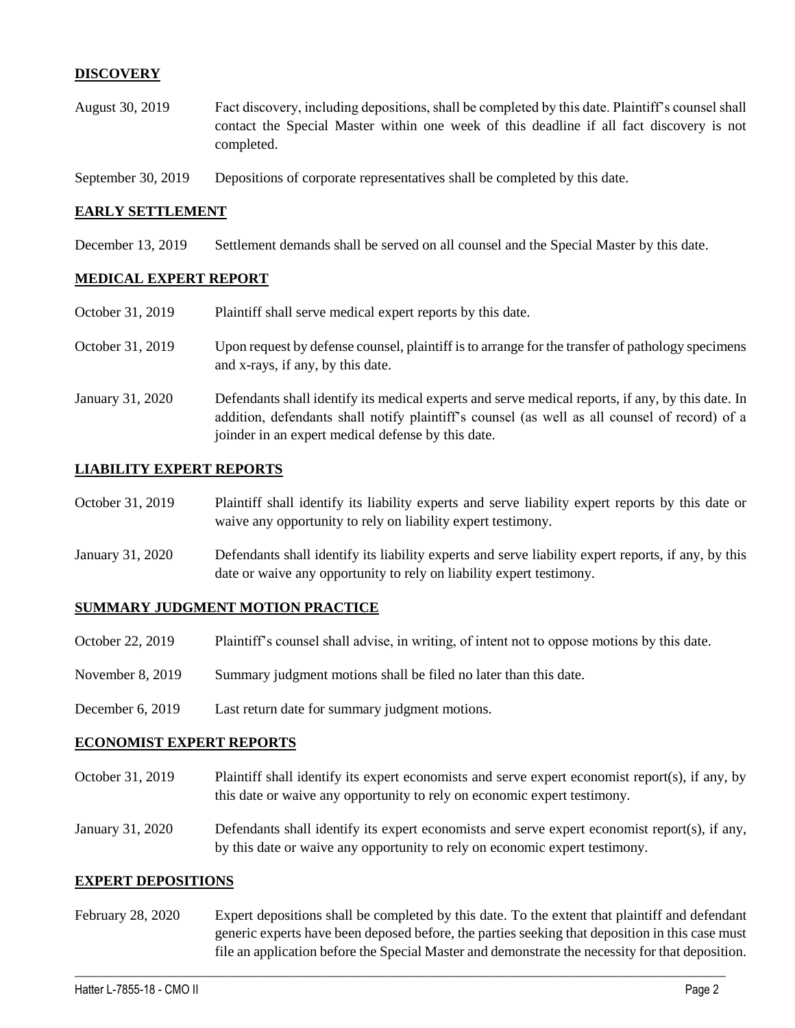## **DISCOVERY**

- August 30, 2019 Fact discovery, including depositions, shall be completed by this date. Plaintiff's counsel shall contact the Special Master within one week of this deadline if all fact discovery is not completed.
- September 30, 2019 Depositions of corporate representatives shall be completed by this date.

### **EARLY SETTLEMENT**

December 13, 2019 Settlement demands shall be served on all counsel and the Special Master by this date.

## **MEDICAL EXPERT REPORT**

| October 31, 2019 | Plaintiff shall serve medical expert reports by this date.                                                                                                                                                                                               |
|------------------|----------------------------------------------------------------------------------------------------------------------------------------------------------------------------------------------------------------------------------------------------------|
| October 31, 2019 | Upon request by defense counsel, plaintiff is to arrange for the transfer of pathology specimens<br>and x-rays, if any, by this date.                                                                                                                    |
| January 31, 2020 | Defendants shall identify its medical experts and serve medical reports, if any, by this date. In<br>addition, defendants shall notify plaintiff's counsel (as well as all counsel of record) of a<br>joinder in an expert medical defense by this date. |

### **LIABILITY EXPERT REPORTS**

| October 31, 2019 | Plaintiff shall identify its liability experts and serve liability expert reports by this date or |
|------------------|---------------------------------------------------------------------------------------------------|
|                  | waive any opportunity to rely on liability expert testimony.                                      |

January 31, 2020 Defendants shall identify its liability experts and serve liability expert reports, if any, by this date or waive any opportunity to rely on liability expert testimony.

## **SUMMARY JUDGMENT MOTION PRACTICE**

- October 22, 2019 Plaintiff's counsel shall advise, in writing, of intent not to oppose motions by this date.
- November 8, 2019 Summary judgment motions shall be filed no later than this date.
- December 6, 2019 Last return date for summary judgment motions.

#### **ECONOMIST EXPERT REPORTS**

- October 31, 2019 Plaintiff shall identify its expert economists and serve expert economist report(s), if any, by this date or waive any opportunity to rely on economic expert testimony.
- January 31, 2020 Defendants shall identify its expert economists and serve expert economist report(s), if any, by this date or waive any opportunity to rely on economic expert testimony.

#### **EXPERT DEPOSITIONS**

February 28, 2020 Expert depositions shall be completed by this date. To the extent that plaintiff and defendant generic experts have been deposed before, the parties seeking that deposition in this case must file an application before the Special Master and demonstrate the necessity for that deposition.

 $\_$  , and the set of the set of the set of the set of the set of the set of the set of the set of the set of the set of the set of the set of the set of the set of the set of the set of the set of the set of the set of th